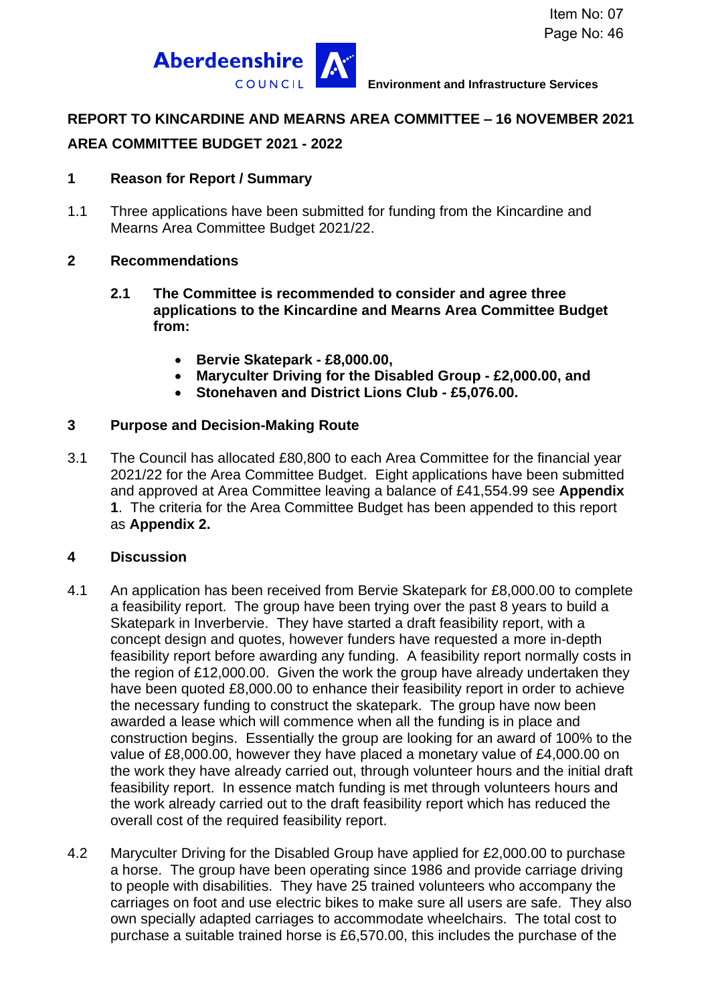

# **REPORT TO KINCARDINE AND MEARNS AREA COMMITTEE – 16 NOVEMBER 2021**

# **AREA COMMITTEE BUDGET 2021 - 2022**

### **1 Reason for Report / Summary**

1.1 Three applications have been submitted for funding from the Kincardine and Mearns Area Committee Budget 2021/22.

### **2 Recommendations**

- **2.1 The Committee is recommended to consider and agree three applications to the Kincardine and Mearns Area Committee Budget from:** 
	- **Bervie Skatepark - £8,000.00,**
	- **Maryculter Driving for the Disabled Group - £2,000.00, and**
	- **Stonehaven and District Lions Club - £5,076.00.**

### **3 Purpose and Decision-Making Route**

3.1 The Council has allocated £80,800 to each Area Committee for the financial year 2021/22 for the Area Committee Budget. Eight applications have been submitted and approved at Area Committee leaving a balance of £41,554.99 see **Appendix 1**. The criteria for the Area Committee Budget has been appended to this report as **Appendix 2.**

### **4 Discussion**

- 4.1 An application has been received from Bervie Skatepark for £8,000.00 to complete a feasibility report. The group have been trying over the past 8 years to build a Skatepark in Inverbervie. They have started a draft feasibility report, with a concept design and quotes, however funders have requested a more in-depth feasibility report before awarding any funding. A feasibility report normally costs in the region of £12,000.00. Given the work the group have already undertaken they have been quoted £8,000.00 to enhance their feasibility report in order to achieve the necessary funding to construct the skatepark. The group have now been awarded a lease which will commence when all the funding is in place and construction begins. Essentially the group are looking for an award of 100% to the value of £8,000.00, however they have placed a monetary value of £4,000.00 on the work they have already carried out, through volunteer hours and the initial draft feasibility report. In essence match funding is met through volunteers hours and the work already carried out to the draft feasibility report which has reduced the overall cost of the required feasibility report.
- 4.2 Maryculter Driving for the Disabled Group have applied for £2,000.00 to purchase a horse. The group have been operating since 1986 and provide carriage driving to people with disabilities. They have 25 trained volunteers who accompany the carriages on foot and use electric bikes to make sure all users are safe. They also own specially adapted carriages to accommodate wheelchairs. The total cost to purchase a suitable trained horse is £6,570.00, this includes the purchase of the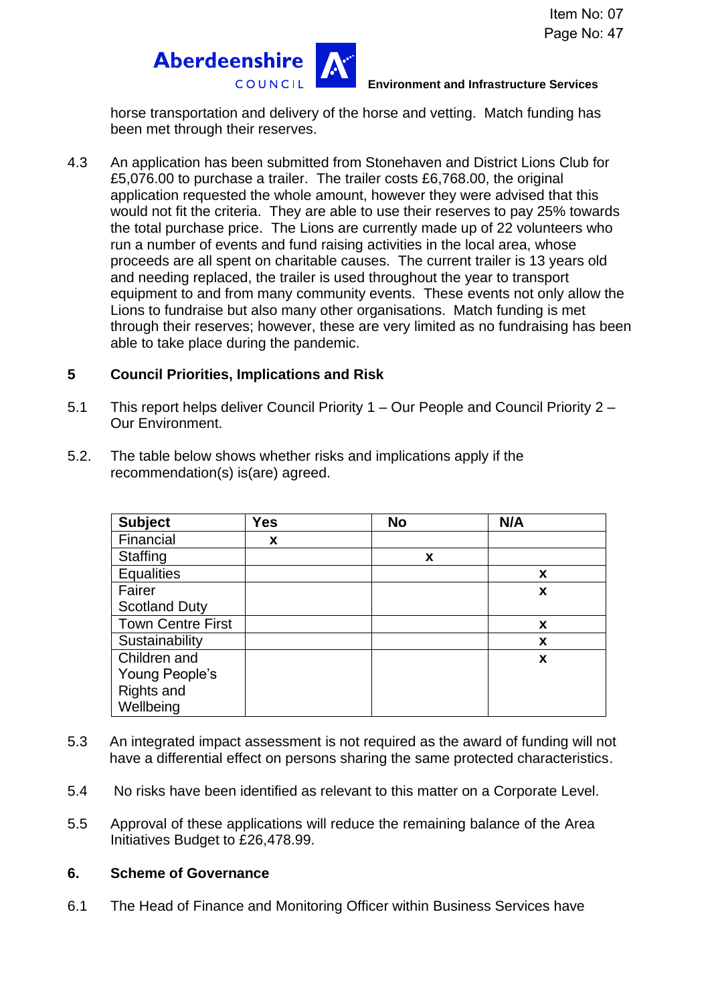

**Environment and Infrastructure Services**

horse transportation and delivery of the horse and vetting. Match funding has been met through their reserves.

4.3 An application has been submitted from Stonehaven and District Lions Club for £5,076.00 to purchase a trailer. The trailer costs £6,768.00, the original application requested the whole amount, however they were advised that this would not fit the criteria. They are able to use their reserves to pay 25% towards the total purchase price. The Lions are currently made up of 22 volunteers who run a number of events and fund raising activities in the local area, whose proceeds are all spent on charitable causes. The current trailer is 13 years old and needing replaced, the trailer is used throughout the year to transport equipment to and from many community events. These events not only allow the Lions to fundraise but also many other organisations. Match funding is met through their reserves; however, these are very limited as no fundraising has been able to take place during the pandemic.

## **5 Council Priorities, Implications and Risk**

- 5.1 This report helps deliver Council Priority 1 Our People and Council Priority 2 Our Environment.
- 5.2. The table below shows whether risks and implications apply if the recommendation(s) is(are) agreed.

| <b>Subject</b>           | Yes | <b>No</b> |   | N/A |
|--------------------------|-----|-----------|---|-----|
| Financial                | X   |           |   |     |
| Staffing                 |     |           | X |     |
| <b>Equalities</b>        |     |           |   | X   |
| Fairer                   |     |           |   | X   |
| <b>Scotland Duty</b>     |     |           |   |     |
| <b>Town Centre First</b> |     |           |   | X   |
| Sustainability           |     |           |   | X   |
| Children and             |     |           |   | X   |
| Young People's           |     |           |   |     |
| Rights and               |     |           |   |     |
| Wellbeing                |     |           |   |     |

- 5.3 An integrated impact assessment is not required as the award of funding will not have a differential effect on persons sharing the same protected characteristics.
- 5.4 No risks have been identified as relevant to this matter on a Corporate Level.
- 5.5 Approval of these applications will reduce the remaining balance of the Area Initiatives Budget to £26,478.99.

### **6. Scheme of Governance**

6.1 The Head of Finance and Monitoring Officer within Business Services have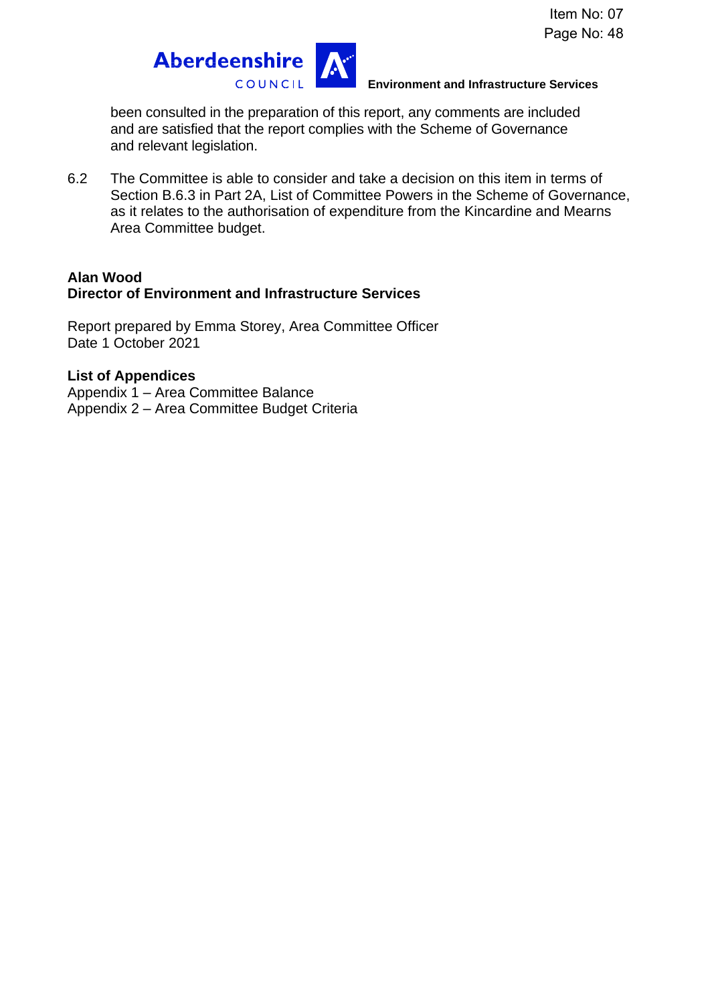

### **Environment and Infrastructure Services**

been consulted in the preparation of this report, any comments are included and are satisfied that the report complies with the Scheme of Governance and relevant legislation.

6.2 The Committee is able to consider and take a decision on this item in terms of Section B.6.3 in Part 2A, List of Committee Powers in the Scheme of Governance, as it relates to the authorisation of expenditure from the Kincardine and Mearns Area Committee budget.

### **Alan Wood Director of Environment and Infrastructure Services**

Report prepared by Emma Storey, Area Committee Officer Date 1 October 2021

## **List of Appendices**

Appendix 1 – Area Committee Balance Appendix 2 – Area Committee Budget Criteria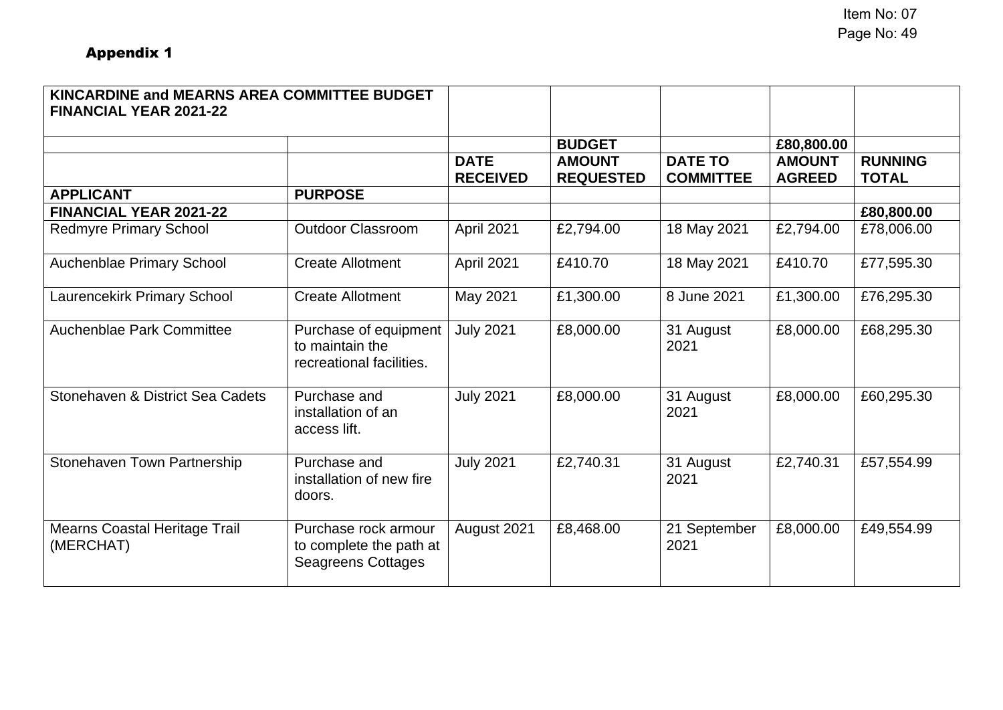| KINCARDINE and MEARNS AREA COMMITTEE BUDGET<br><b>FINANCIAL YEAR 2021-22</b> |                                                                      |                                |                                   |                                    |                                |                                |
|------------------------------------------------------------------------------|----------------------------------------------------------------------|--------------------------------|-----------------------------------|------------------------------------|--------------------------------|--------------------------------|
|                                                                              |                                                                      |                                | <b>BUDGET</b>                     |                                    | £80,800.00                     |                                |
|                                                                              |                                                                      | <b>DATE</b><br><b>RECEIVED</b> | <b>AMOUNT</b><br><b>REQUESTED</b> | <b>DATE TO</b><br><b>COMMITTEE</b> | <b>AMOUNT</b><br><b>AGREED</b> | <b>RUNNING</b><br><b>TOTAL</b> |
| <b>APPLICANT</b>                                                             | <b>PURPOSE</b>                                                       |                                |                                   |                                    |                                |                                |
| <b>FINANCIAL YEAR 2021-22</b>                                                |                                                                      |                                |                                   |                                    |                                | £80,800.00                     |
| <b>Redmyre Primary School</b>                                                | <b>Outdoor Classroom</b>                                             | April 2021                     | £2,794.00                         | 18 May 2021                        | £2,794.00                      | £78,006.00                     |
| Auchenblae Primary School                                                    | <b>Create Allotment</b>                                              | April 2021                     | £410.70                           | 18 May 2021                        | £410.70                        | £77,595.30                     |
| <b>Laurencekirk Primary School</b>                                           | <b>Create Allotment</b>                                              | May 2021                       | £1,300.00                         | 8 June 2021                        | £1,300.00                      | £76,295.30                     |
| Auchenblae Park Committee                                                    | Purchase of equipment<br>to maintain the<br>recreational facilities. | <b>July 2021</b>               | £8,000.00                         | 31 August<br>2021                  | £8,000.00                      | £68,295.30                     |
| Stonehaven & District Sea Cadets                                             | Purchase and<br>installation of an<br>access lift.                   | <b>July 2021</b>               | £8,000.00                         | 31 August<br>2021                  | £8,000.00                      | £60,295.30                     |
| Stonehaven Town Partnership                                                  | Purchase and<br>installation of new fire<br>doors.                   | <b>July 2021</b>               | £2,740.31                         | 31 August<br>2021                  | £2,740.31                      | £57,554.99                     |
| <b>Mearns Coastal Heritage Trail</b><br>(MERCHAT)                            | Purchase rock armour<br>to complete the path at                      | August 2021                    | £8,468.00                         | 21 September<br>2021               | £8,000.00                      | £49,554.99                     |

Seagreens Cottages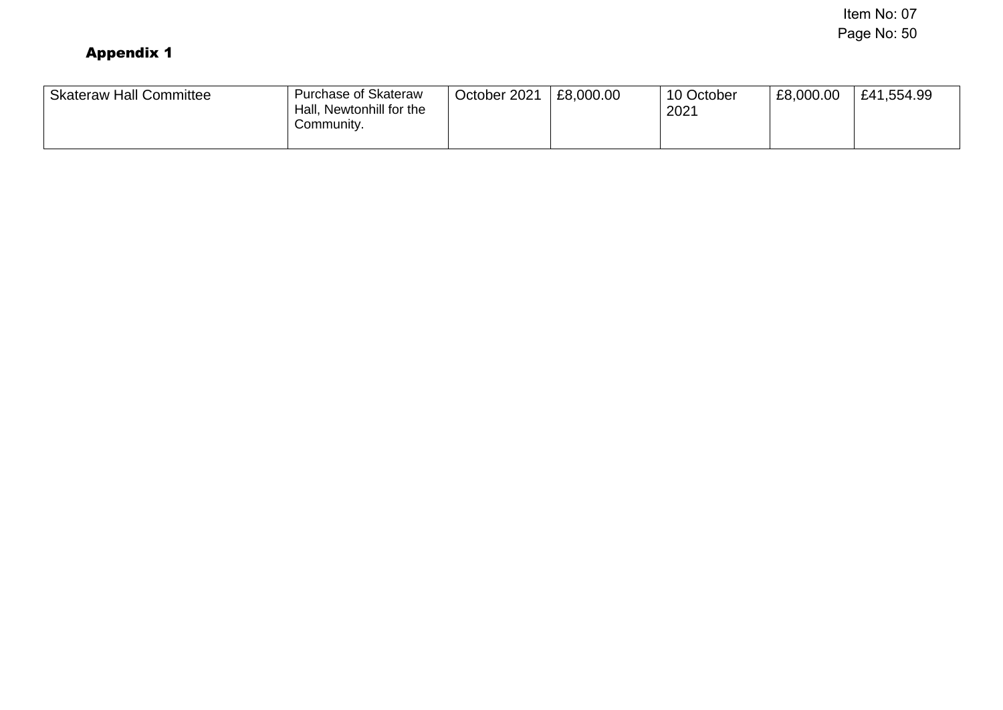Item No: 07 Page No: 50

| <b>Skateraw Hall Committee</b> | <b>Purchase of Skateraw</b><br>Hall, Newtonhill for the<br>Community. | October 2021 | £8,000.00 | 10 October<br>2021 | £8,000.00 | £41,554.99 |
|--------------------------------|-----------------------------------------------------------------------|--------------|-----------|--------------------|-----------|------------|
|--------------------------------|-----------------------------------------------------------------------|--------------|-----------|--------------------|-----------|------------|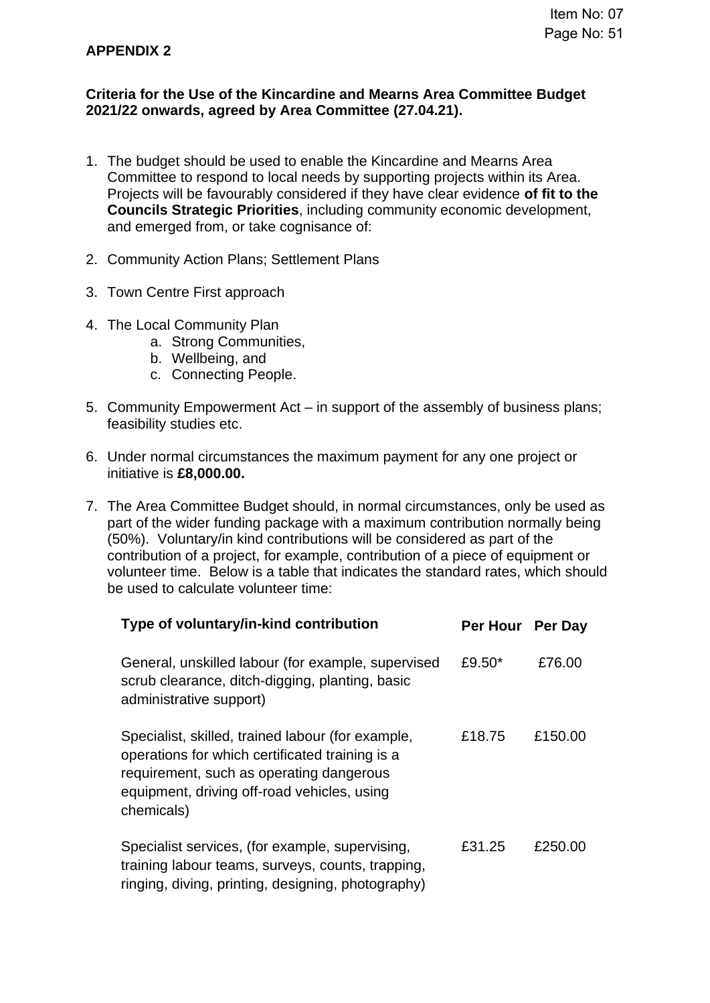## **APPENDIX 2**

## **Criteria for the Use of the Kincardine and Mearns Area Committee Budget 2021/22 onwards, agreed by Area Committee (27.04.21).**

- 1. The budget should be used to enable the Kincardine and Mearns Area Committee to respond to local needs by supporting projects within its Area. Projects will be favourably considered if they have clear evidence **of fit to the Councils Strategic Priorities**, including community economic development, and emerged from, or take cognisance of:
- 2. Community Action Plans; Settlement Plans
- 3. Town Centre First approach
- 4. The Local Community Plan
	- a. Strong Communities,
	- b. Wellbeing, and
	- c. Connecting People.
- 5. Community Empowerment Act in support of the assembly of business plans; feasibility studies etc.
- 6. Under normal circumstances the maximum payment for any one project or initiative is **£8,000.00.**
- 7. The Area Committee Budget should, in normal circumstances, only be used as part of the wider funding package with a maximum contribution normally being (50%). Voluntary/in kind contributions will be considered as part of the contribution of a project, for example, contribution of a piece of equipment or volunteer time. Below is a table that indicates the standard rates, which should be used to calculate volunteer time:

| Type of voluntary/in-kind contribution                                                                                                                                                                        | Per Hour Per Day |         |
|---------------------------------------------------------------------------------------------------------------------------------------------------------------------------------------------------------------|------------------|---------|
| General, unskilled labour (for example, supervised<br>scrub clearance, ditch-digging, planting, basic<br>administrative support)                                                                              | £9.50*           | £76.00  |
| Specialist, skilled, trained labour (for example,<br>operations for which certificated training is a<br>requirement, such as operating dangerous<br>equipment, driving off-road vehicles, using<br>chemicals) | £18.75           | £150.00 |
| Specialist services, (for example, supervising,<br>training labour teams, surveys, counts, trapping,<br>ringing, diving, printing, designing, photography)                                                    | £31.25           | £250.00 |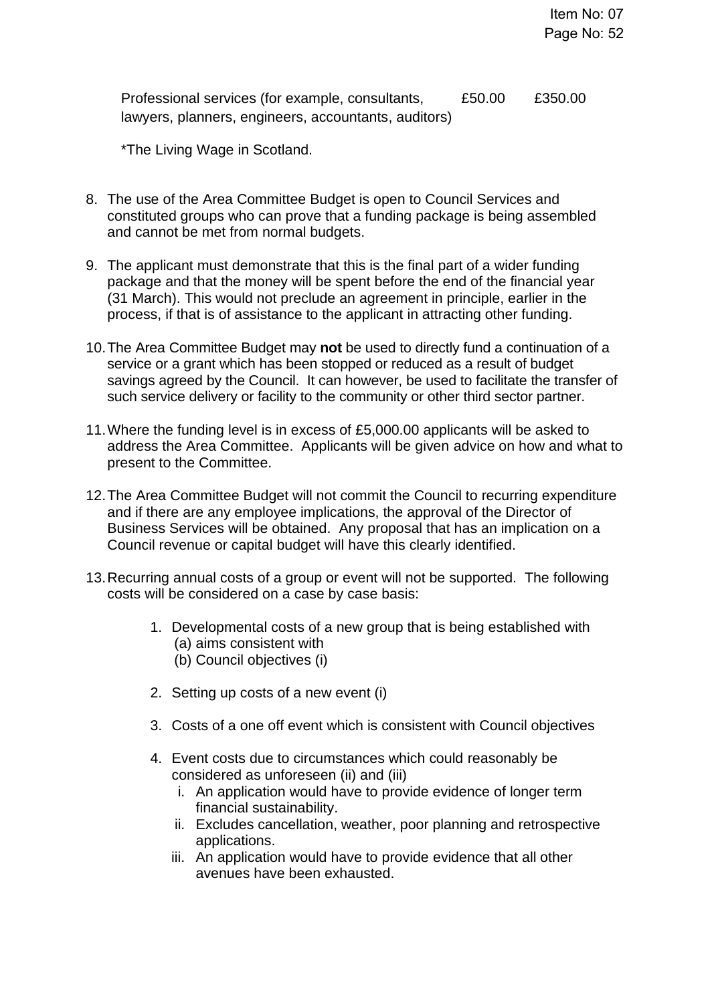Professional services (for example, consultants, lawyers, planners, engineers, accountants, auditors) £50.00 £350.00

\*The Living Wage in Scotland.

- 8. The use of the Area Committee Budget is open to Council Services and constituted groups who can prove that a funding package is being assembled and cannot be met from normal budgets.
- 9. The applicant must demonstrate that this is the final part of a wider funding package and that the money will be spent before the end of the financial year (31 March). This would not preclude an agreement in principle, earlier in the process, if that is of assistance to the applicant in attracting other funding.
- 10.The Area Committee Budget may **not** be used to directly fund a continuation of a service or a grant which has been stopped or reduced as a result of budget savings agreed by the Council. It can however, be used to facilitate the transfer of such service delivery or facility to the community or other third sector partner.
- 11.Where the funding level is in excess of £5,000.00 applicants will be asked to address the Area Committee. Applicants will be given advice on how and what to present to the Committee.
- 12.The Area Committee Budget will not commit the Council to recurring expenditure and if there are any employee implications, the approval of the Director of Business Services will be obtained. Any proposal that has an implication on a Council revenue or capital budget will have this clearly identified.
- 13.Recurring annual costs of a group or event will not be supported. The following costs will be considered on a case by case basis:
	- 1. Developmental costs of a new group that is being established with (a) aims consistent with (b) Council objectives (i)
	- 2. Setting up costs of a new event (i)
	- 3. Costs of a one off event which is consistent with Council objectives
	- 4. Event costs due to circumstances which could reasonably be considered as unforeseen (ii) and (iii)
		- i. An application would have to provide evidence of longer term financial sustainability.
		- ii. Excludes cancellation, weather, poor planning and retrospective applications.
		- iii. An application would have to provide evidence that all other avenues have been exhausted.